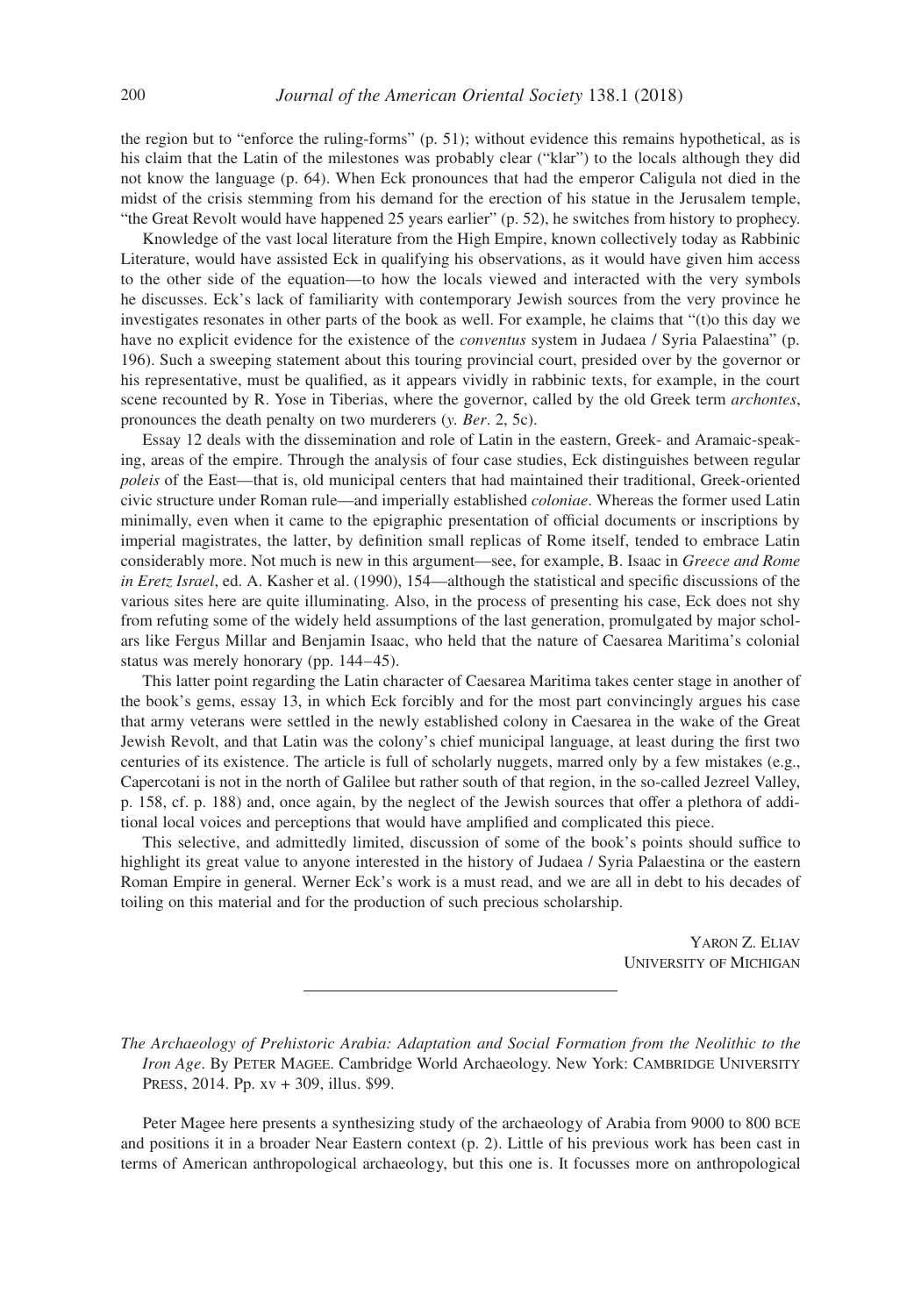the region but to "enforce the ruling-forms" (p. 51); without evidence this remains hypothetical, as is his claim that the Latin of the milestones was probably clear ("klar") to the locals although they did not know the language (p. 64). When Eck pronounces that had the emperor Caligula not died in the midst of the crisis stemming from his demand for the erection of his statue in the Jerusalem temple, "the Great Revolt would have happened 25 years earlier" (p. 52), he switches from history to prophecy.

Knowledge of the vast local literature from the High Empire, known collectively today as Rabbinic Literature, would have assisted Eck in qualifying his observations, as it would have given him access to the other side of the equation—to how the locals viewed and interacted with the very symbols he discusses. Eck's lack of familiarity with contemporary Jewish sources from the very province he investigates resonates in other parts of the book as well. For example, he claims that "(t)o this day we have no explicit evidence for the existence of the *conventus* system in Judaea / Syria Palaestina" (p. 196). Such a sweeping statement about this touring provincial court, presided over by the governor or his representative, must be qualified, as it appears vividly in rabbinic texts, for example, in the court scene recounted by R. Yose in Tiberias, where the governor, called by the old Greek term *archontes*, pronounces the death penalty on two murderers (*y. Ber*. 2, 5c).

Essay 12 deals with the dissemination and role of Latin in the eastern, Greek- and Aramaic-speaking, areas of the empire. Through the analysis of four case studies, Eck distinguishes between regular *poleis* of the East—that is, old municipal centers that had maintained their traditional, Greek-oriented civic structure under Roman rule—and imperially established *coloniae*. Whereas the former used Latin minimally, even when it came to the epigraphic presentation of official documents or inscriptions by imperial magistrates, the latter, by definition small replicas of Rome itself, tended to embrace Latin considerably more. Not much is new in this argument—see, for example, B. Isaac in *Greece and Rome in Eretz Israel*, ed. A. Kasher et al. (1990), 154—although the statistical and specific discussions of the various sites here are quite illuminating. Also, in the process of presenting his case, Eck does not shy from refuting some of the widely held assumptions of the last generation, promulgated by major scholars like Fergus Millar and Benjamin Isaac, who held that the nature of Caesarea Maritima's colonial status was merely honorary (pp. 144–45).

This latter point regarding the Latin character of Caesarea Maritima takes center stage in another of the book's gems, essay 13, in which Eck forcibly and for the most part convincingly argues his case that army veterans were settled in the newly established colony in Caesarea in the wake of the Great Jewish Revolt, and that Latin was the colony's chief municipal language, at least during the first two centuries of its existence. The article is full of scholarly nuggets, marred only by a few mistakes (e.g., Capercotani is not in the north of Galilee but rather south of that region, in the so-called Jezreel Valley, p. 158, cf. p. 188) and, once again, by the neglect of the Jewish sources that offer a plethora of additional local voices and perceptions that would have amplified and complicated this piece.

This selective, and admittedly limited, discussion of some of the book's points should suffice to highlight its great value to anyone interested in the history of Judaea / Syria Palaestina or the eastern Roman Empire in general. Werner Eck's work is a must read, and we are all in debt to his decades of toiling on this material and for the production of such precious scholarship.

> Yaron Z. Eliav University of Michigan

*The Archaeology of Prehistoric Arabia: Adaptation and Social Formation from the Neolithic to the Iron Age*. By PETER MAGEE. Cambridge World Archaeology. New York: CAMBRIDGE UNIVERSITY Press, 2014. Pp. xv + 309, illus. \$99.

Peter Magee here presents a synthesizing study of the archaeology of Arabia from 9000 to 800 bce and positions it in a broader Near Eastern context (p. 2). Little of his previous work has been cast in terms of American anthropological archaeology, but this one is. It focusses more on anthropological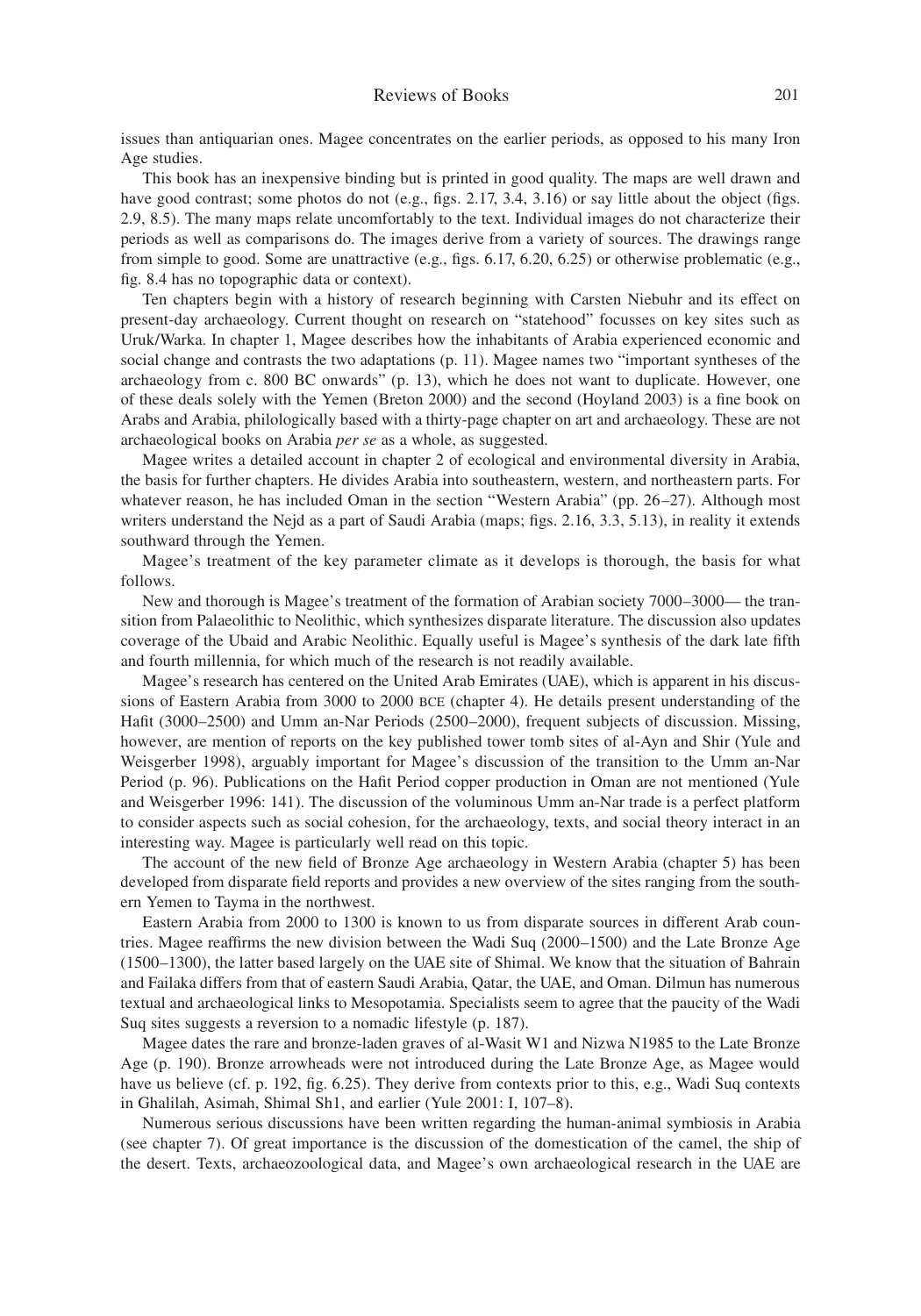issues than antiquarian ones. Magee concentrates on the earlier periods, as opposed to his many Iron Age studies.

This book has an inexpensive binding but is printed in good quality. The maps are well drawn and have good contrast; some photos do not (e.g., figs. 2.17, 3.4, 3.16) or say little about the object (figs. 2.9, 8.5). The many maps relate uncomfortably to the text. Individual images do not characterize their periods as well as comparisons do. The images derive from a variety of sources. The drawings range from simple to good. Some are unattractive (e.g., figs. 6.17, 6.20, 6.25) or otherwise problematic (e.g., fig. 8.4 has no topographic data or context).

Ten chapters begin with a history of research beginning with Carsten Niebuhr and its effect on present-day archaeology. Current thought on research on "statehood" focusses on key sites such as Uruk/Warka. In chapter 1, Magee describes how the inhabitants of Arabia experienced economic and social change and contrasts the two adaptations (p. 11). Magee names two "important syntheses of the archaeology from c. 800 BC onwards" (p. 13), which he does not want to duplicate. However, one of these deals solely with the Yemen (Breton 2000) and the second (Hoyland 2003) is a fine book on Arabs and Arabia, philologically based with a thirty-page chapter on art and archaeology. These are not archaeological books on Arabia *per se* as a whole, as suggested.

Magee writes a detailed account in chapter 2 of ecological and environmental diversity in Arabia, the basis for further chapters. He divides Arabia into southeastern, western, and northeastern parts. For whatever reason, he has included Oman in the section "Western Arabia" (pp. 26–27). Although most writers understand the Nejd as a part of Saudi Arabia (maps; figs. 2.16, 3.3, 5.13), in reality it extends southward through the Yemen.

Magee's treatment of the key parameter climate as it develops is thorough, the basis for what follows.

New and thorough is Magee's treatment of the formation of Arabian society 7000–3000— the transition from Palaeolithic to Neolithic, which synthesizes disparate literature. The discussion also updates coverage of the Ubaid and Arabic Neolithic. Equally useful is Magee's synthesis of the dark late fifth and fourth millennia, for which much of the research is not readily available.

Magee's research has centered on the United Arab Emirates (UAE), which is apparent in his discussions of Eastern Arabia from 3000 to 2000 bce (chapter 4). He details present understanding of the Hafit (3000–2500) and Umm an-Nar Periods (2500–2000), frequent subjects of discussion. Missing, however, are mention of reports on the key published tower tomb sites of al-Ayn and Shir (Yule and Weisgerber 1998), arguably important for Magee's discussion of the transition to the Umm an-Nar Period (p. 96). Publications on the Hafit Period copper production in Oman are not mentioned (Yule and Weisgerber 1996: 141). The discussion of the voluminous Umm an-Nar trade is a perfect platform to consider aspects such as social cohesion, for the archaeology, texts, and social theory interact in an interesting way. Magee is particularly well read on this topic.

The account of the new field of Bronze Age archaeology in Western Arabia (chapter 5) has been developed from disparate field reports and provides a new overview of the sites ranging from the southern Yemen to Tayma in the northwest.

Eastern Arabia from 2000 to 1300 is known to us from disparate sources in different Arab countries. Magee reaffirms the new division between the Wadi Suq (2000–1500) and the Late Bronze Age (1500–1300), the latter based largely on the UAE site of Shimal. We know that the situation of Bahrain and Failaka differs from that of eastern Saudi Arabia, Qatar, the UAE, and Oman. Dilmun has numerous textual and archaeological links to Mesopotamia. Specialists seem to agree that the paucity of the Wadi Suq sites suggests a reversion to a nomadic lifestyle (p. 187).

Magee dates the rare and bronze-laden graves of al-Wasit W1 and Nizwa N1985 to the Late Bronze Age (p. 190). Bronze arrowheads were not introduced during the Late Bronze Age, as Magee would have us believe (cf. p. 192, fig. 6.25). They derive from contexts prior to this, e.g., Wadi Suq contexts in Ghalilah, Asimah, Shimal Sh1, and earlier (Yule 2001: I, 107–8).

Numerous serious discussions have been written regarding the human-animal symbiosis in Arabia (see chapter 7). Of great importance is the discussion of the domestication of the camel, the ship of the desert. Texts, archaeozoological data, and Magee's own archaeological research in the UAE are